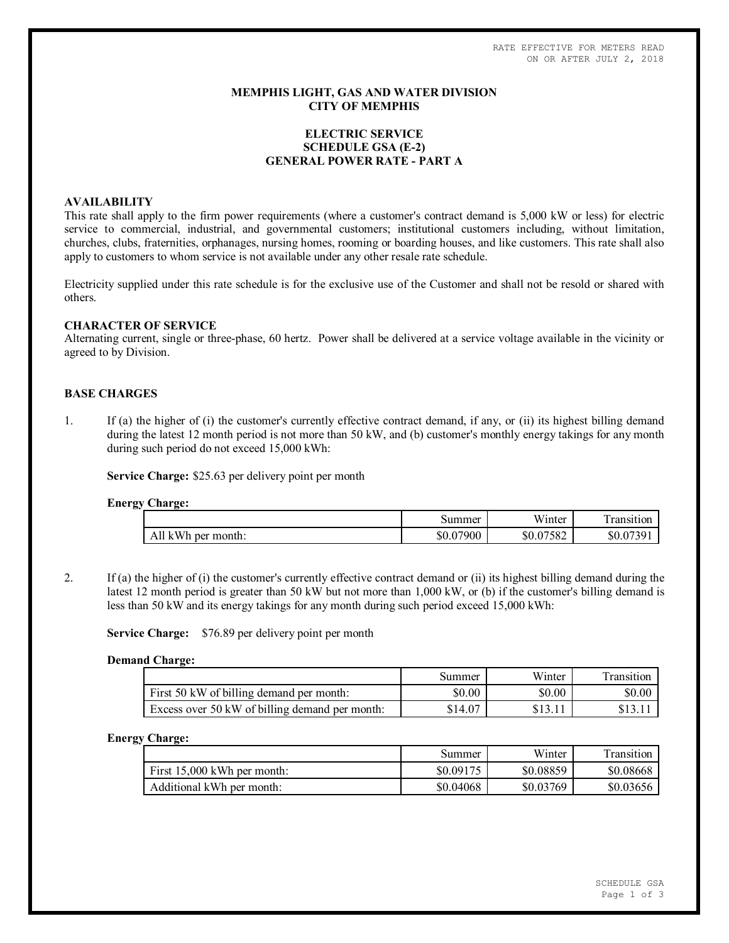RATE EFFECTIVE FOR METERS READ ON OR AFTER JULY 2, 2018

## **MEMPHIS LIGHT, GAS AND WATER DIVISION CITY OF MEMPHIS**

# **ELECTRIC SERVICE SCHEDULE GSA (E-2) GENERAL POWER RATE - PART A**

## **AVAILABILITY**

This rate shall apply to the firm power requirements (where a customer's contract demand is 5,000 kW or less) for electric service to commercial, industrial, and governmental customers; institutional customers including, without limitation, churches, clubs, fraternities, orphanages, nursing homes, rooming or boarding houses, and like customers. This rate shall also apply to customers to whom service is not available under any other resale rate schedule.

Electricity supplied under this rate schedule is for the exclusive use of the Customer and shall not be resold or shared with others.

### **CHARACTER OF SERVICE**

Alternating current, single or three-phase, 60 hertz. Power shall be delivered at a service voltage available in the vicinity or agreed to by Division.

# **BASE CHARGES**

1. If (a) the higher of (i) the customer's currently effective contract demand, if any, or (ii) its highest billing demand during the latest 12 month period is not more than 50 kW, and (b) customer's monthly energy takings for any month during such period do not exceed 15,000 kWh:

**Service Charge:** \$25.63 per delivery point per month

#### **Energy Charge:**

| ້ | .                     |                |                        |                       |
|---|-----------------------|----------------|------------------------|-----------------------|
|   |                       | Summer         | Winter                 | ransition             |
|   | All kWh<br>per month: | .07900<br>DU.U | 07502<br>\$0.07<br>282 | \$0.07<br>0730<br>. ب |

2. If (a) the higher of (i) the customer's currently effective contract demand or (ii) its highest billing demand during the latest 12 month period is greater than 50 kW but not more than 1,000 kW, or (b) if the customer's billing demand is less than 50 kW and its energy takings for any month during such period exceed 15,000 kWh:

**Service Charge:** \$76.89 per delivery point per month

### **Demand Charge:**

|                                                | Summer  | Winter | Transition |
|------------------------------------------------|---------|--------|------------|
| First 50 kW of billing demand per month:       | \$0.00  | \$0.00 | \$0.00     |
| Excess over 50 kW of billing demand per month: | \$14.07 |        |            |

#### **Energy Charge:**

|                               | Summer    | Winter    | Transition |
|-------------------------------|-----------|-----------|------------|
| First $15.000$ kWh per month: | \$0.09175 | \$0.08859 | \$0.08668  |
| Additional kWh per month:     | \$0.04068 | \$0.03769 | \$0.03656  |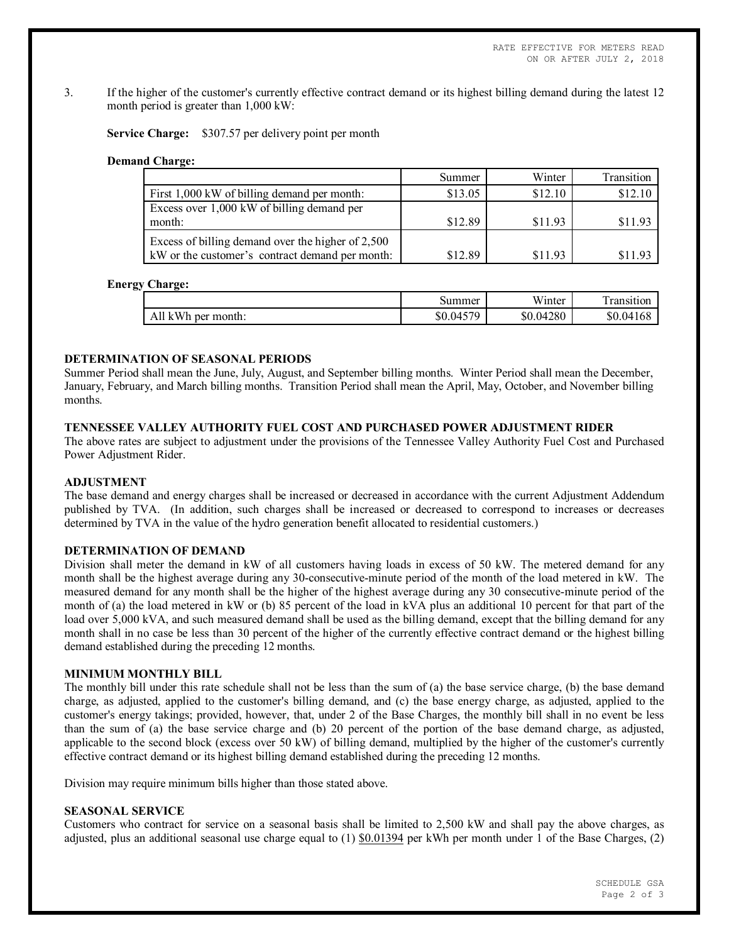3. If the higher of the customer's currently effective contract demand or its highest billing demand during the latest 12 month period is greater than 1,000 kW:

**Service Charge:** \$307.57 per delivery point per month

#### **Demand Charge:**

|                                                   | Summer  | Winter  | Transition |
|---------------------------------------------------|---------|---------|------------|
| First 1,000 kW of billing demand per month:       | \$13.05 | \$12.10 | \$12.10    |
| Excess over 1,000 kW of billing demand per        |         |         |            |
| month:                                            | \$12.89 | \$11.93 | \$11.93    |
| Excess of billing demand over the higher of 2,500 |         |         |            |
| kW or the customer's contract demand per month:   | \$12.89 | \$11.93 | \$11.93    |

#### **Energy Charge:**

|                    | Summer    | T T T<br>Winter | <u>та</u><br>ransition! |
|--------------------|-----------|-----------------|-------------------------|
| All kWh per month: | \$0.04579 | \$0.04280       | \$0.04168               |

## **DETERMINATION OF SEASONAL PERIODS**

Summer Period shall mean the June, July, August, and September billing months. Winter Period shall mean the December, January, February, and March billing months. Transition Period shall mean the April, May, October, and November billing months.

## **TENNESSEE VALLEY AUTHORITY FUEL COST AND PURCHASED POWER ADJUSTMENT RIDER**

The above rates are subject to adjustment under the provisions of the Tennessee Valley Authority Fuel Cost and Purchased Power Adjustment Rider.

#### **ADJUSTMENT**

The base demand and energy charges shall be increased or decreased in accordance with the current Adjustment Addendum published by TVA. (In addition, such charges shall be increased or decreased to correspond to increases or decreases determined by TVA in the value of the hydro generation benefit allocated to residential customers.)

## **DETERMINATION OF DEMAND**

Division shall meter the demand in kW of all customers having loads in excess of 50 kW. The metered demand for any month shall be the highest average during any 30-consecutive-minute period of the month of the load metered in kW. The measured demand for any month shall be the higher of the highest average during any 30 consecutive-minute period of the month of (a) the load metered in kW or (b) 85 percent of the load in kVA plus an additional 10 percent for that part of the load over 5,000 kVA, and such measured demand shall be used as the billing demand, except that the billing demand for any month shall in no case be less than 30 percent of the higher of the currently effective contract demand or the highest billing demand established during the preceding 12 months.

#### **MINIMUM MONTHLY BILL**

The monthly bill under this rate schedule shall not be less than the sum of (a) the base service charge, (b) the base demand charge, as adjusted, applied to the customer's billing demand, and (c) the base energy charge, as adjusted, applied to the customer's energy takings; provided, however, that, under 2 of the Base Charges, the monthly bill shall in no event be less than the sum of (a) the base service charge and (b) 20 percent of the portion of the base demand charge, as adjusted, applicable to the second block (excess over 50 kW) of billing demand, multiplied by the higher of the customer's currently effective contract demand or its highest billing demand established during the preceding 12 months.

Division may require minimum bills higher than those stated above.

## **SEASONAL SERVICE**

Customers who contract for service on a seasonal basis shall be limited to 2,500 kW and shall pay the above charges, as adjusted, plus an additional seasonal use charge equal to  $(1)$  \$0.01394 per kWh per month under 1 of the Base Charges,  $(2)$